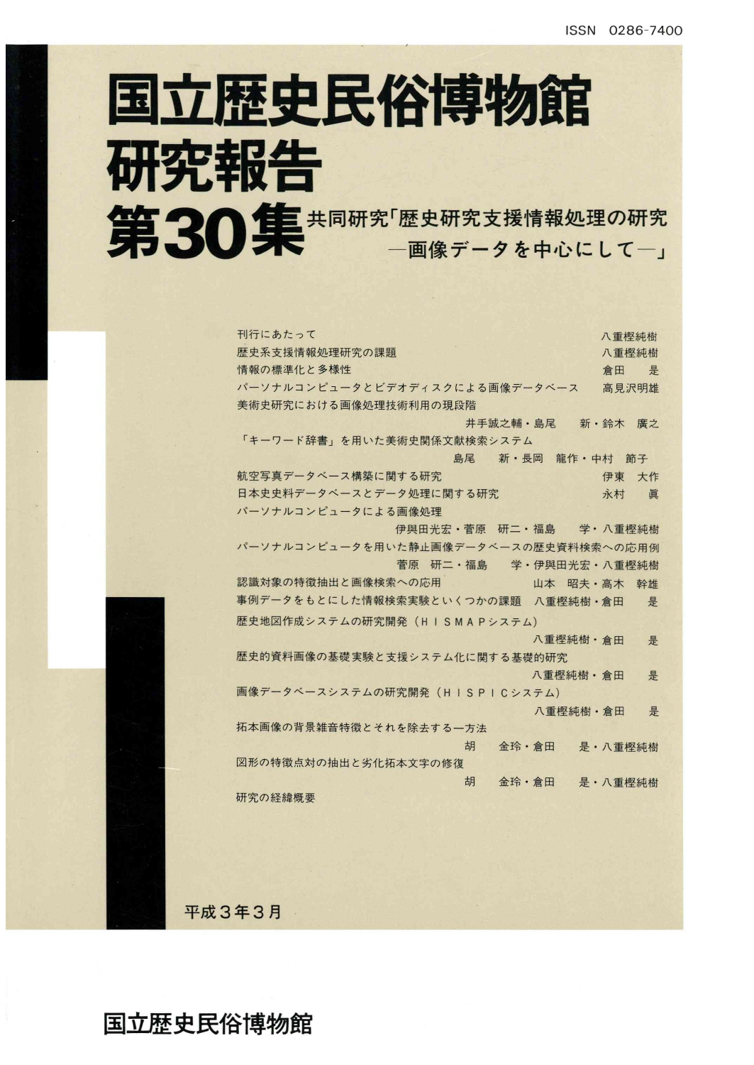# 国立歴史民俗博物館 研究報告 第30集 #同研究「歴史研究支援情報処理の研究

| 刊行にあたって                               | 八重樫純樹    |
|---------------------------------------|----------|
| 歴史系支援情報処理研究の課題                        | 八重樫純樹    |
| 情報の標準化と多様性                            | 是<br>倉田  |
| パーソナルコンピュータとビデオディスクによる画像データベース        | 高見沢明雄    |
| 美術史研究における画像処理技術利用の現段階                 |          |
| 井手誠之輔・島尾 新・鈴木                         | 廣之       |
| 「キーワード辞書」を用いた美術史関係文献検索システム            |          |
| 島尾 新・長岡 龍作・中村                         | 節子       |
| 航空写真データベース構築に関する研究                    | 伊東<br>大作 |
| 日本史史料データベースとデータ処理に関する研究               | 永村<br>眞  |
| パーソナルコンピュータによる画像処理                    |          |
| 伊與田光宏・菅原 研二・福島                        | 学·八重樫純樹  |
| パーソナルコンピュータを用いた静止画像データベースの歴史資料検索への応用例 |          |
| 菅原 研二・福島 学・伊與田光宏・八重樫純樹                |          |
| 認識対象の特徴抽出と画像検索への応用<br>山本 昭夫·高木        | 幹雄       |
| 事例データをもとにした情報検索実験といくつかの課題 八重樫純樹・倉田    | 是        |
| 歴史地図作成システムの研究開発(HISMAPシステム)           |          |
| 八重樫純樹·倉田                              | 是        |
| 歴史的資料画像の基礎実験と支援システム化に関する基礎的研究         |          |
| 八重樫純樹·倉田                              | 是        |
| 画像データベースシステムの研究開発(HISPICシステム)         |          |
| 八重樫純樹·倉田                              | 是        |
| 拓本画像の背景雑音特徴とそれを除去する一方法                |          |
| 胡<br>金玲·倉田                            | 是·八重樫純樹  |
| 図形の特徴点対の抽出と劣化拓本文字の修復                  |          |
| 胡<br>金玲·倉田                            | 是·八重樫純樹  |
| 研究の経緯概要                               |          |
|                                       |          |

平成3年3月

国立歴史民俗博物館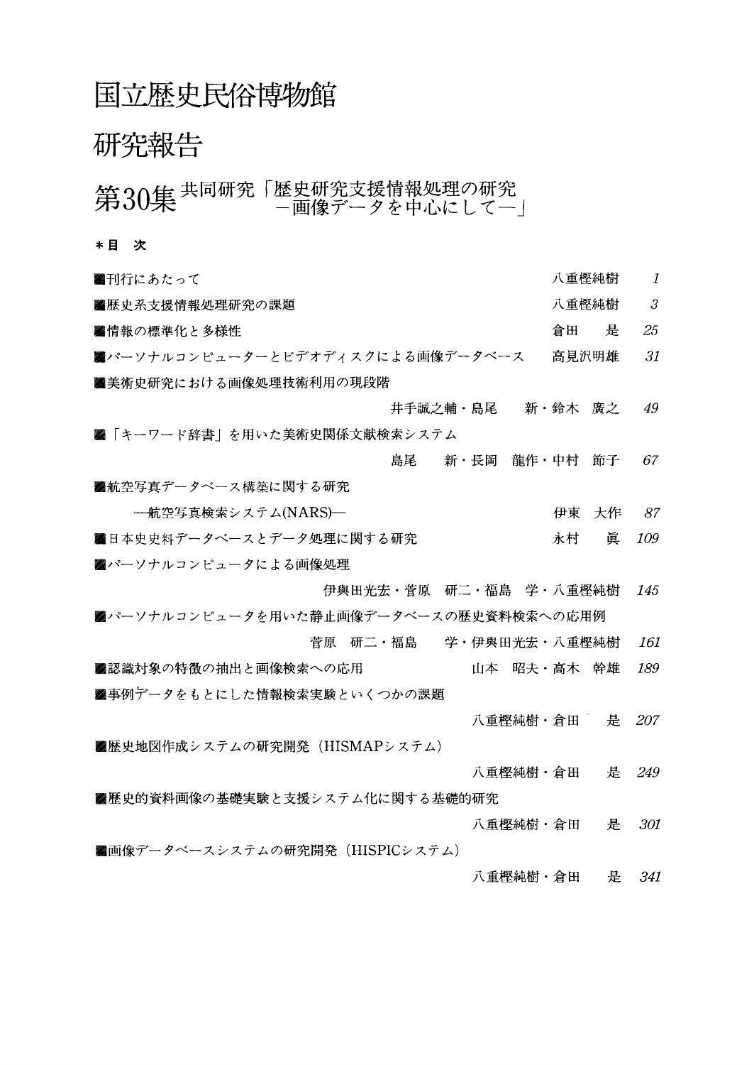#### 国立歴史民俗博物館

### 研究報告

## 第30集共同研究「歴史研究支援情報処理の研究

\*目 次

| ■刊行にあたって                               | 八重樫純樹   |   | 1   |
|----------------------------------------|---------|---|-----|
| ■歴史系支援情報処理研究の課題                        | 八重樫純樹   |   | 3   |
| ■情報の標準化と多様性                            | 倉田      | 是 | 25  |
| ■パーソナルコンピューターとビデオディスクによる画像データベース       | 高見沢明雄   |   | 31  |
| ■美術史研究における画像処理技術利用の現段階                 |         |   |     |
| 井手誠之輔・島尾                               | 新・鈴木 廣之 |   | 49  |
|                                        |         |   |     |
| ■ 「キーワード辞書」を用いた美術史関係文献検索システム           |         |   |     |
| 島尾<br>新・長岡 龍作・中村 節子                    |         |   | 67  |
| ■航空写真データベース構築に関する研究                    |         |   |     |
| ─航空写真検索システム(NARS)─                     | 伊東 大作   |   | 87  |
| ■日本史史料データベースとデータ処理に関する研究               | 永村      | 眞 | 109 |
| ■パーソナルコンピュータによる画像処理                    |         |   |     |
| 伊與田光宏・菅原 研二・福島 学・八重樫純樹                 |         |   | 145 |
| ■パーソナルコンピュータを用いた静止画像データベースの歴史資料検索への応用例 |         |   |     |
| 菅原 研二・福島<br>学・伊與田光宏・八重樫純樹              |         |   | 161 |
| 山本 昭夫・高木 幹雄                            |         |   | 189 |
| ■認識対象の特徴の抽出と画像検索への応用                   |         |   |     |
| ■事例データをもとにした情報検索実験といくつかの課題             |         |   |     |
| 八重樫純樹・倉田                               |         | 是 | 207 |
| ■歴史地図作成システムの研究開発(HISMAPシステム)           |         |   |     |
| 八重樫純樹・倉田                               |         | 是 | 249 |
| ■歴史的資料画像の基礎実験と支援システム化に関する基礎的研究         |         |   |     |
| 八重樫純樹・倉田                               |         | 是 | 301 |
| ■画像データベースシステムの研究開発(HISPICシステム)         |         |   |     |
|                                        |         | 是 | 341 |
| 八重樫純樹・倉田                               |         |   |     |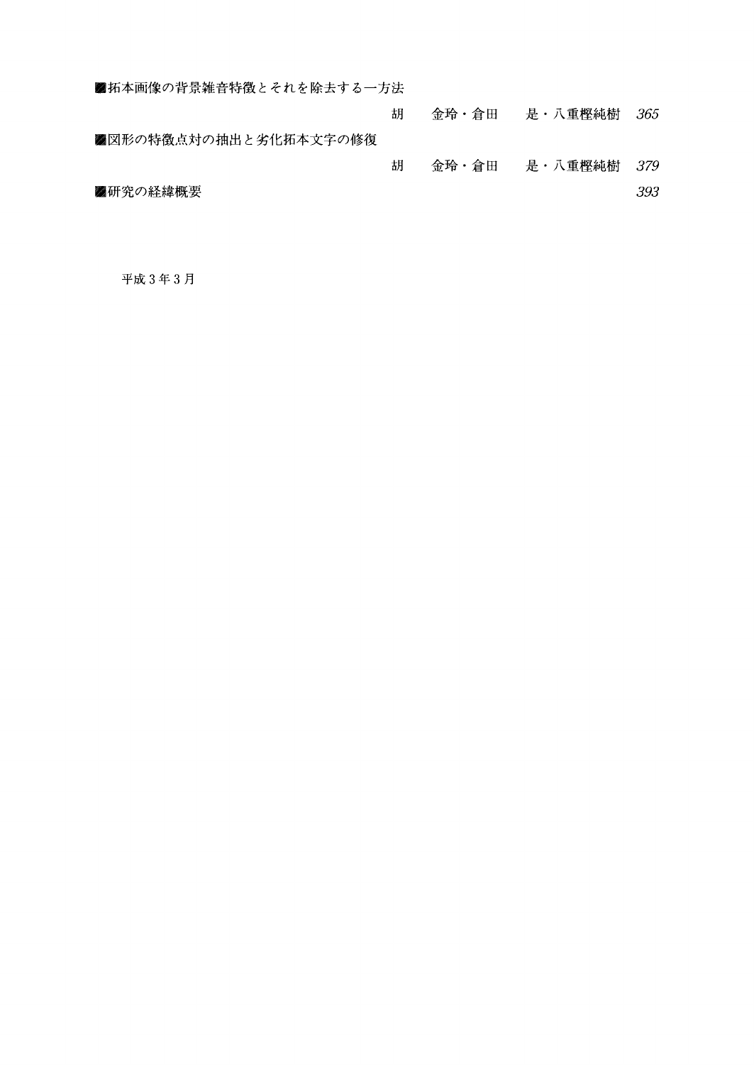| ■ 拓本画像の背景雑音特徴とそれを除去する一方法 |   |       |           |      |
|--------------------------|---|-------|-----------|------|
|                          | 胡 | 金玲・倉田 | - 是・八重樫純樹 | -365 |
| ■図形の特徴点対の抽出と劣化拓本文字の修復    |   |       |           |      |
|                          | 胡 | 金玲・倉田 | 是・八重樫純樹   | -379 |
| ■研究の経緯概要                 |   |       |           | 393  |
|                          |   |       |           |      |

平成3年3月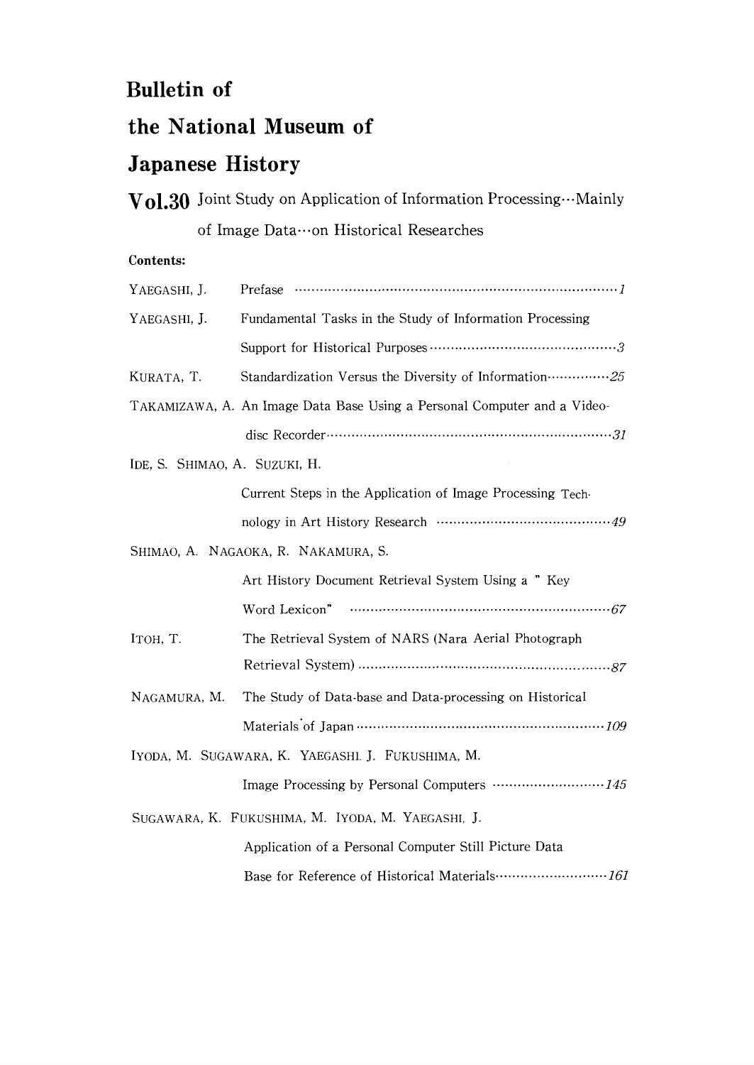#### Bulletin of

#### the Nationa1 Museum of

#### Japanese History

| Vol.30 Joint Study on Application of Information Processing Mainly |
|--------------------------------------------------------------------|
| of Image Data  on Historical Researches                            |

#### Contents:

| YAEGASHI, J.                  |                                                                          |
|-------------------------------|--------------------------------------------------------------------------|
| YAEGASHI, J.                  | Fundamental Tasks in the Study of Information Processing                 |
|                               |                                                                          |
| KURATA, T.                    | Standardization Versus the Diversity of Information  25                  |
|                               | TAKAMIZAWA, A. An Image Data Base Using a Personal Computer and a Video- |
|                               |                                                                          |
| IDE, S. SHIMAO, A. SUZUKI, H. |                                                                          |
|                               | Current Steps in the Application of Image Processing Tech-               |
|                               |                                                                          |
|                               | SHIMAO, A. NAGAOKA, R. NAKAMURA, S.                                      |
|                               | Art History Document Retrieval System Using a " Key                      |
|                               |                                                                          |
| Ітон, Т.                      | The Retrieval System of NARS (Nara Aerial Photograph                     |
|                               |                                                                          |
| NAGAMURA, M.                  | The Study of Data-base and Data-processing on Historical                 |
|                               |                                                                          |
|                               | IYODA, M. SUGAWARA, K. YAEGASHI. J. FUKUSHIMA, M.                        |
|                               |                                                                          |
|                               | SUGAWARA, K. FUKUSHIMA, M. IYODA, M. YAEGASHI, J.                        |
|                               | Application of a Personal Computer Still Picture Data                    |
|                               |                                                                          |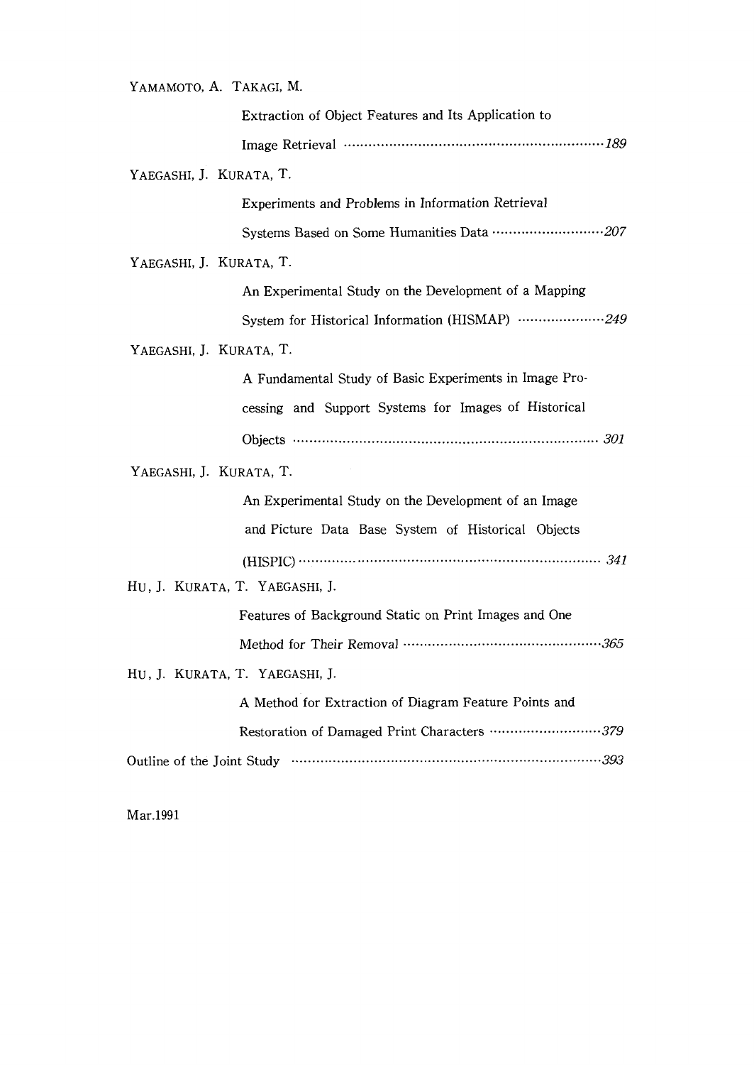| YAMAMOTO, A. TAKAGI, M.                                |
|--------------------------------------------------------|
| Extraction of Object Features and Its Application to   |
|                                                        |
| YAEGASHI, J. KURATA, T.                                |
| Experiments and Problems in Information Retrieval      |
| Systems Based on Some Humanities Data 207              |
| YAEGASHI, J. KURATA, T.                                |
| An Experimental Study on the Development of a Mapping  |
| System for Historical Information (HISMAP) 249         |
| YAEGASHI, J. KURATA, T.                                |
| A Fundamental Study of Basic Experiments in Image Pro- |
| cessing and Support Systems for Images of Historical   |
|                                                        |
| YAEGASHI, J. KURATA, T.                                |
| An Experimental Study on the Development of an Image   |
| and Picture Data Base System of Historical Objects     |
|                                                        |
| HU, J. KURATA, T. YAEGASHI, J.                         |
|                                                        |
| Features of Background Static on Print Images and One  |
|                                                        |
| HU, J. KURATA, T. YAEGASHI, J.                         |
| A Method for Extraction of Diagram Feature Points and  |
| Restoration of Damaged Print Characters 379            |

Mar.1991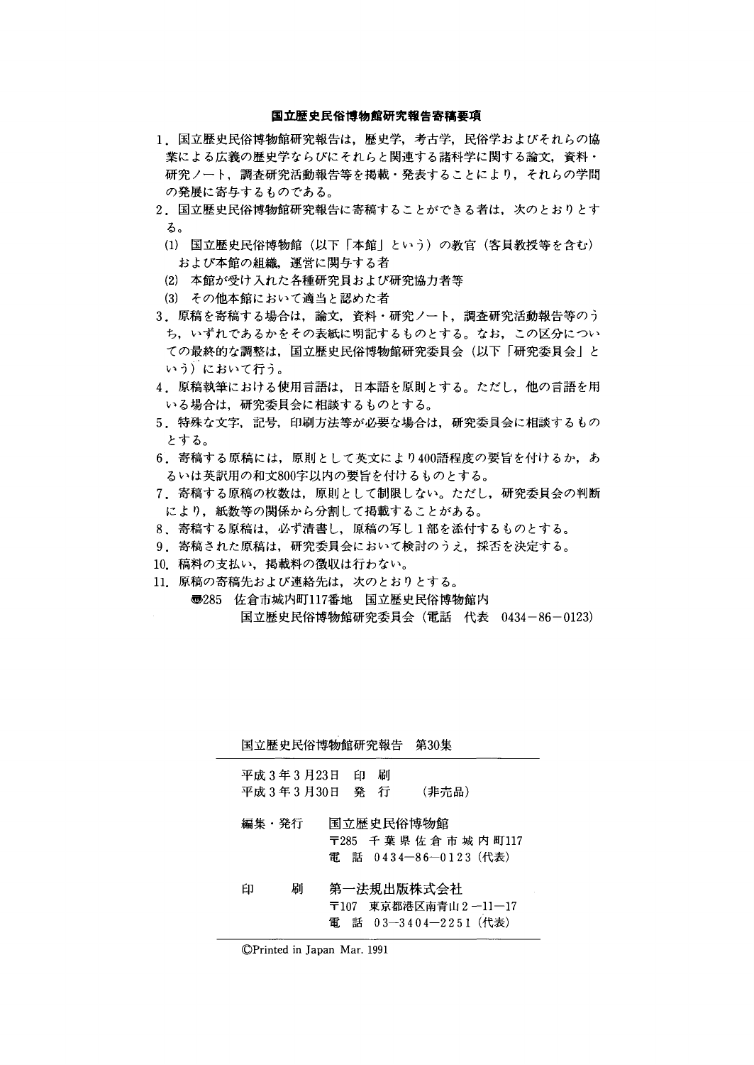#### 国立歴史民俗博物館研究報告寄稿要項

- 1.国立歴史民俗博物館研究報告は,歴史学,考古学,民俗学およびそれらの協 業による広義の歴史学ならびにそれらと関連する諸科学に関する論文,資料・ 研究ノート,調査研究活動報告等を掲載・発表することにより,それらの学問 の発展に寄与するものである。
- 2. 国立歴史民俗博物館研究報告に寄稿することができる者は, 次のとおりとす る。
	- (1)国立歴史民俗博物館(以下「本館」という)の教官(客員教授等を含む) および本館の組織,運営に関与する者
	- (2)本館が受け入れた各種研究員および研究協力者等
	- (3)その他本館において適当と認めた者
- 3.原稿を寄稿する場合は,論文,資料・研究ノート,調査研究活動報告等のう ち,いずれであるかをその表紙に明記するものとする。なお,この区分につい ての最終的な調整は,国立歴史民俗博物館研究委員会(以下「研究委貝会」と いう)において行う。
- 4.原稿執筆における使用言語は,日本語を原則とする。ただし,他の言語を用 いる場合は,研究委員会に相談するものとする。
- 5.特殊な文字,記号,印刷方法等が必要な場合は,研究委員会に相談するもの とする。
- 6.寄稿する原稿には,原則として英文により400語程度の要旨を付けるか,あ るいは英訳用の和文800字以内の要旨を付けるものとする。
- 7.寄稿する原稿の枚数は,原則として制限しない。ただし,研究委員会の判断 により,紙数等の関係から分割して掲載することがある。
- 8、寄稿する原稿は,必ず清書し,原稿の写し1部を添付するものとする。
- 9.寄稿された原稿は,研究委員会において検討のうえ,採否を決定する。
- 10.稿料の支払い,掲載料の徴収は行わない。
- 11.原稿の寄稿先および連絡先は,次のとおりとする。
	- ⑰285 佐倉市城内町117番地 国立歴史民俗博物館内 国立歴史民俗博物館研究委員会(電話 代表 0434-86-0123)

国立歴史民俗博物館研究報告 第30集

| 平成 3 年 3 月 23 日 日 刷 |  |       |
|---------------------|--|-------|
| 平成 3 年 3 月 30 日 発 行 |  | (非売品) |

- 編集・発行 国立歴史民俗博物館 〒285千葉県佐倉市城内町117 電 話 0434-86-0123(代表)
- $E_{\rm P}$ 刷 第一法規出版株式会社 〒107 東京都港区南青山2-11-17 電 話 03-3404-2251 (代表)

<sup>◎</sup>Printed in Japan Mar.1991